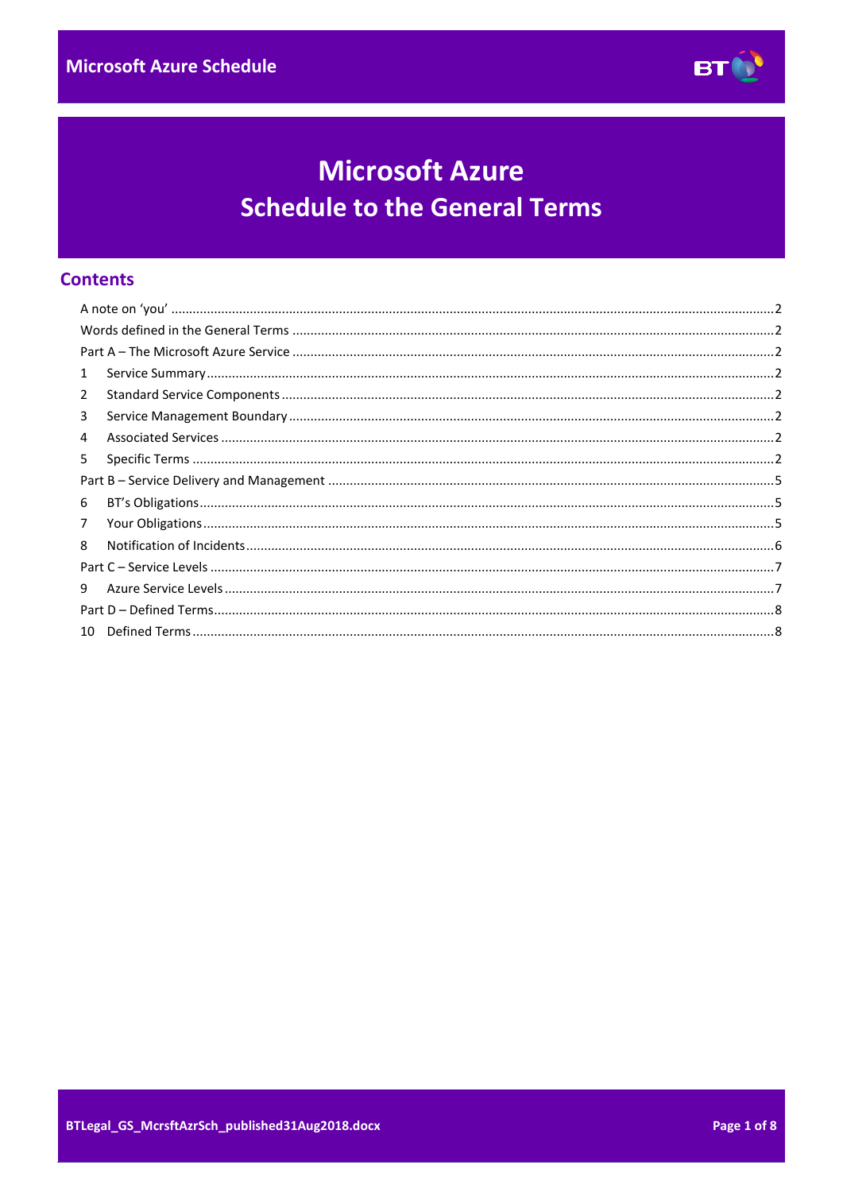

# **Microsoft Azure Schedule to the General Terms**

# **Contents**

| $\mathbf{1}$   |  |
|----------------|--|
| $\overline{2}$ |  |
| 3              |  |
| 4              |  |
| 5              |  |
|                |  |
| 6              |  |
| 7              |  |
| 8              |  |
|                |  |
| 9              |  |
|                |  |
|                |  |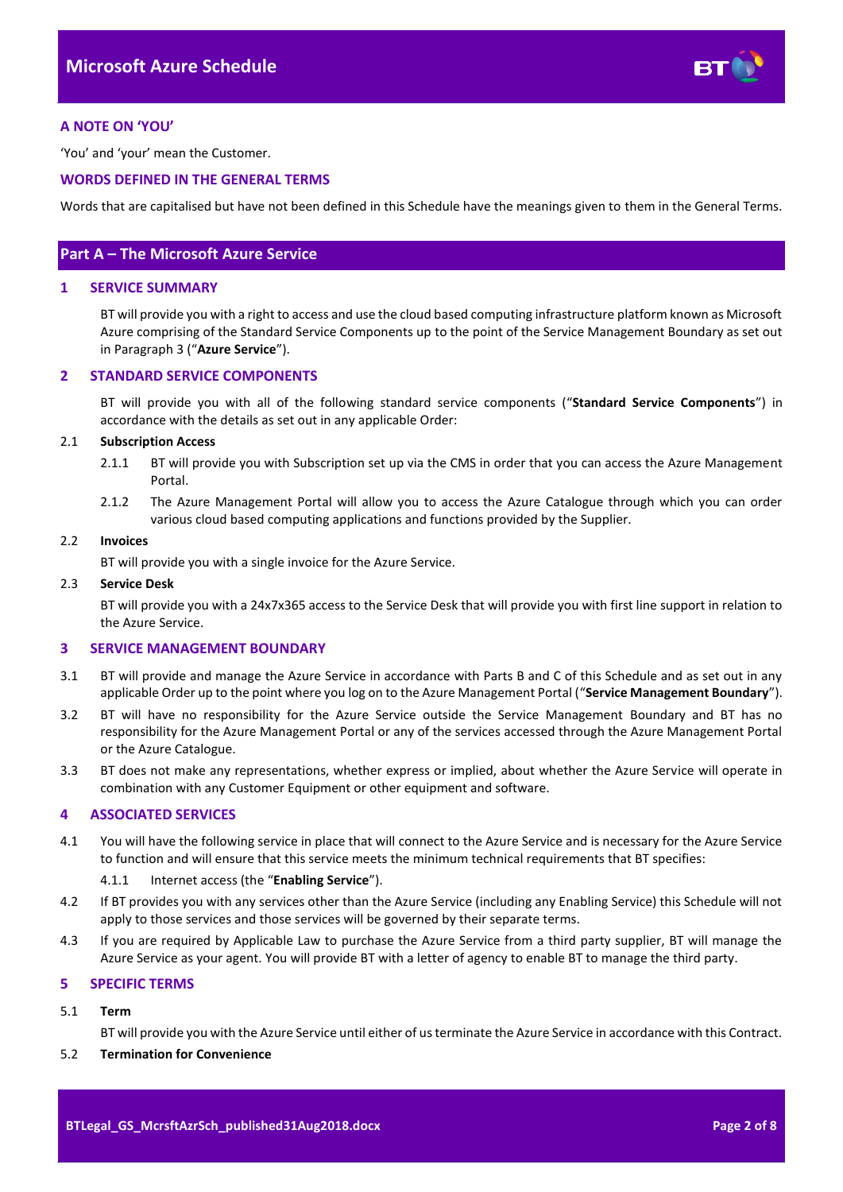

## <span id="page-1-0"></span>**A NOTE ON 'YOU'**

'You' and 'your' mean the Customer.

## <span id="page-1-1"></span>**WORDS DEFINED IN THE GENERAL TERMS**

Words that are capitalised but have not been defined in this Schedule have the meanings given to them in the General Terms.

## <span id="page-1-2"></span>**Part A – The Microsoft Azure Service**

## <span id="page-1-3"></span>**1 SERVICE SUMMARY**

BT will provide you with a right to access and use the cloud based computing infrastructure platform known as Microsoft Azure comprising of the Standard Service Components up to the point of the Service Management Boundary as set out in Paragrap[h 3](#page-1-5) ("**Azure Service**").

## <span id="page-1-4"></span>**2 STANDARD SERVICE COMPONENTS**

BT will provide you with all of the following standard service components ("**Standard Service Components**") in accordance with the details as set out in any applicable Order:

#### 2.1 **Subscription Access**

- 2.1.1 BT will provide you with Subscription set up via the CMS in order that you can access the Azure Management Portal.
- 2.1.2 The Azure Management Portal will allow you to access the Azure Catalogue through which you can order various cloud based computing applications and functions provided by the Supplier.

#### 2.2 **Invoices**

BT will provide you with a single invoice for the Azure Service.

#### 2.3 **Service Desk**

BT will provide you with a 24x7x365 access to the Service Desk that will provide you with first line support in relation to the Azure Service.

## <span id="page-1-5"></span>**3 SERVICE MANAGEMENT BOUNDARY**

- <span id="page-1-9"></span>3.1 BT will provide and manage the Azure Service in accordance with Parts B and C of this Schedule and as set out in any applicable Order up to the point where you log on to the Azure Management Portal ("**Service Management Boundary**").
- 3.2 BT will have no responsibility for the Azure Service outside the Service Management Boundary and BT has no responsibility for the Azure Management Portal or any of the services accessed through the Azure Management Portal or the Azure Catalogue.
- 3.3 BT does not make any representations, whether express or implied, about whether the Azure Service will operate in combination with any Customer Equipment or other equipment and software.

#### <span id="page-1-6"></span>**4 ASSOCIATED SERVICES**

<span id="page-1-8"></span>4.1 You will have the following service in place that will connect to the Azure Service and is necessary for the Azure Service to function and will ensure that this service meets the minimum technical requirements that BT specifies:

#### 4.1.1 Internet access (the "**Enabling Service**").

- 4.2 If BT provides you with any services other than the Azure Service (including any Enabling Service) this Schedule will not apply to those services and those services will be governed by their separate terms.
- 4.3 If you are required by Applicable Law to purchase the Azure Service from a third party supplier, BT will manage the Azure Service as your agent. You will provide BT with a letter of agency to enable BT to manage the third party.

## <span id="page-1-7"></span>**5 SPECIFIC TERMS**

#### 5.1 **Term**

BT will provide you with the Azure Service until either of us terminate the Azure Service in accordance with this Contract.

## 5.2 **Termination for Convenience**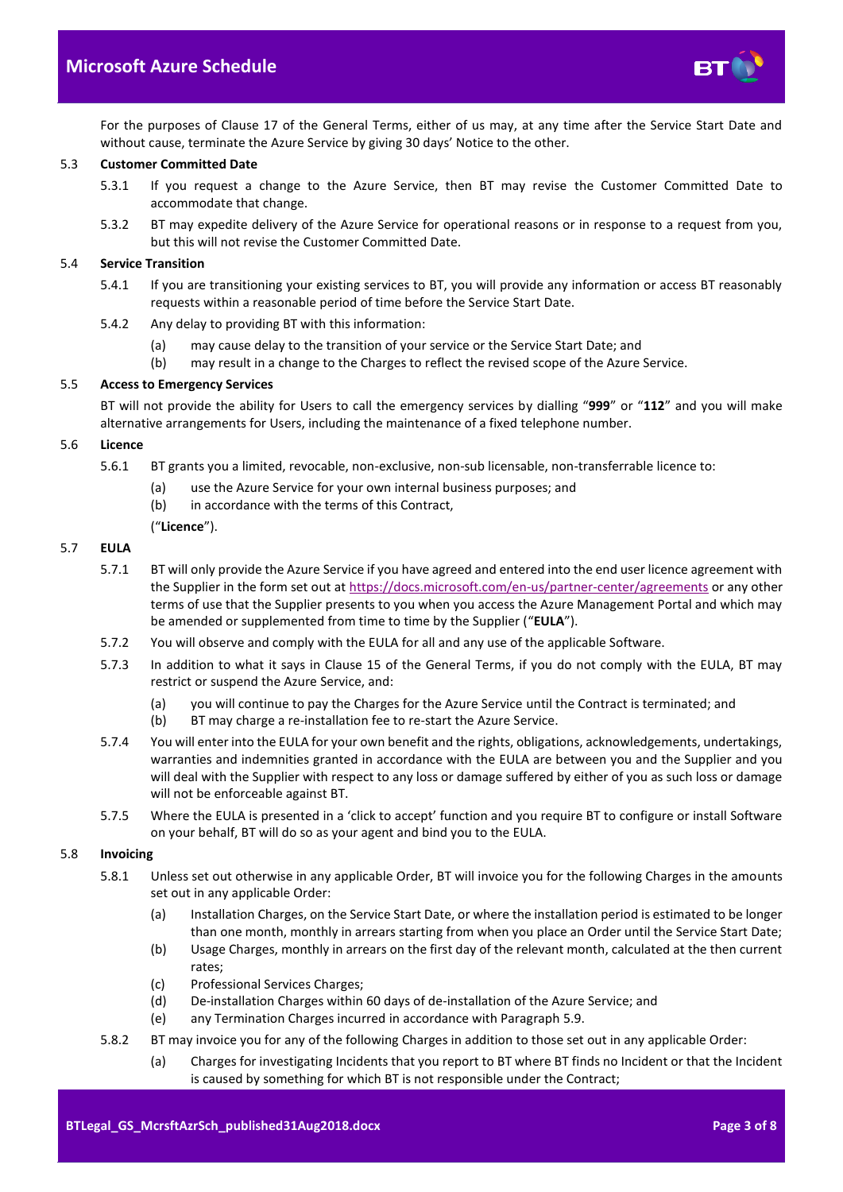

For the purposes of Clause 17 of the General Terms, either of us may, at any time after the Service Start Date and without cause, terminate the Azure Service by giving 30 days' Notice to the other.

## 5.3 **Customer Committed Date**

- 5.3.1 If you request a change to the Azure Service, then BT may revise the Customer Committed Date to accommodate that change.
- 5.3.2 BT may expedite delivery of the Azure Service for operational reasons or in response to a request from you, but this will not revise the Customer Committed Date.

#### 5.4 **Service Transition**

- 5.4.1 If you are transitioning your existing services to BT, you will provide any information or access BT reasonably requests within a reasonable period of time before the Service Start Date.
- 5.4.2 Any delay to providing BT with this information:
	- (a) may cause delay to the transition of your service or the Service Start Date; and
	- (b) may result in a change to the Charges to reflect the revised scope of the Azure Service.

#### 5.5 **Access to Emergency Services**

BT will not provide the ability for Users to call the emergency services by dialling "**999**" or "**112**" and you will make alternative arrangements for Users, including the maintenance of a fixed telephone number.

#### 5.6 **Licence**

- 5.6.1 BT grants you a limited, revocable, non-exclusive, non-sub licensable, non-transferrable licence to:
	- (a) use the Azure Service for your own internal business purposes; and
	- (b) in accordance with the terms of this Contract,
	- ("**Licence**").

## <span id="page-2-0"></span>5.7 **EULA**

- 5.7.1 BT will only provide the Azure Service if you have agreed and entered into the end user licence agreement with the Supplier in the form set out a[t https://docs.microsoft.com/en-us/partner-center/agreements](https://docs.microsoft.com/en-us/partner-center/agreements) or any other terms of use that the Supplier presents to you when you access the Azure Management Portal and which may be amended or supplemented from time to time by the Supplier ("**EULA**").
- 5.7.2 You will observe and comply with the EULA for all and any use of the applicable Software.
- 5.7.3 In addition to what it says in Clause 15 of the General Terms, if you do not comply with the EULA, BT may restrict or suspend the Azure Service, and:
	- (a) you will continue to pay the Charges for the Azure Service until the Contract is terminated; and
	- (b) BT may charge a re-installation fee to re-start the Azure Service.
- 5.7.4 You will enter into the EULA for your own benefit and the rights, obligations, acknowledgements, undertakings, warranties and indemnities granted in accordance with the EULA are between you and the Supplier and you will deal with the Supplier with respect to any loss or damage suffered by either of you as such loss or damage will not be enforceable against BT.
- 5.7.5 Where the EULA is presented in a 'click to accept' function and you require BT to configure or install Software on your behalf, BT will do so as your agent and bind you to the EULA.

#### 5.8 **Invoicing**

- 5.8.1 Unless set out otherwise in any applicable Order, BT will invoice you for the following Charges in the amounts set out in any applicable Order:
	- (a) Installation Charges, on the Service Start Date, or where the installation period is estimated to be longer than one month, monthly in arrears starting from when you place an Order until the Service Start Date;
	- (b) Usage Charges, monthly in arrears on the first day of the relevant month, calculated at the then current rates;
	- (c) Professional Services Charges;
	- (d) De-installation Charges within 60 days of de-installation of the Azure Service; and
	- (e) any Termination Charges incurred in accordance with Paragrap[h 5.9.](#page-3-0)
- 5.8.2 BT may invoice you for any of the following Charges in addition to those set out in any applicable Order:
	- (a) Charges for investigating Incidents that you report to BT where BT finds no Incident or that the Incident is caused by something for which BT is not responsible under the Contract;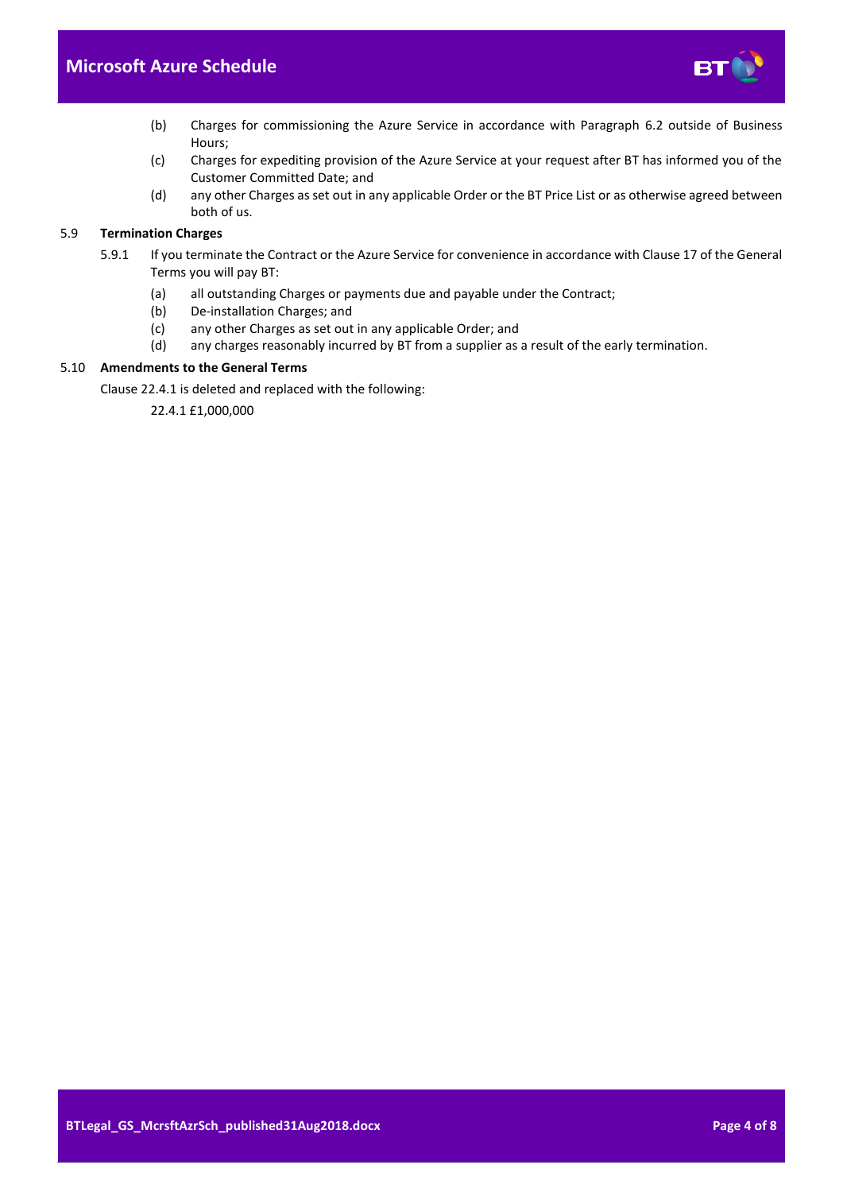

- (b) Charges for commissioning the Azure Service in accordance with Paragraph [6.2](#page-4-3) outside of Business Hours;
- (c) Charges for expediting provision of the Azure Service at your request after BT has informed you of the Customer Committed Date; and
- (d) any other Charges as set out in any applicable Order or the BT Price List or as otherwise agreed between both of us.

## <span id="page-3-0"></span>5.9 **Termination Charges**

- 5.9.1 If you terminate the Contract or the Azure Service for convenience in accordance with Clause 17 of the General Terms you will pay BT:
	- (a) all outstanding Charges or payments due and payable under the Contract;
	- (b) De-installation Charges; and
	- (c) any other Charges as set out in any applicable Order; and
	- (d) any charges reasonably incurred by BT from a supplier as a result of the early termination.

## 5.10 **Amendments to the General Terms**

Clause 22.4.1 is deleted and replaced with the following:

22.4.1 £1,000,000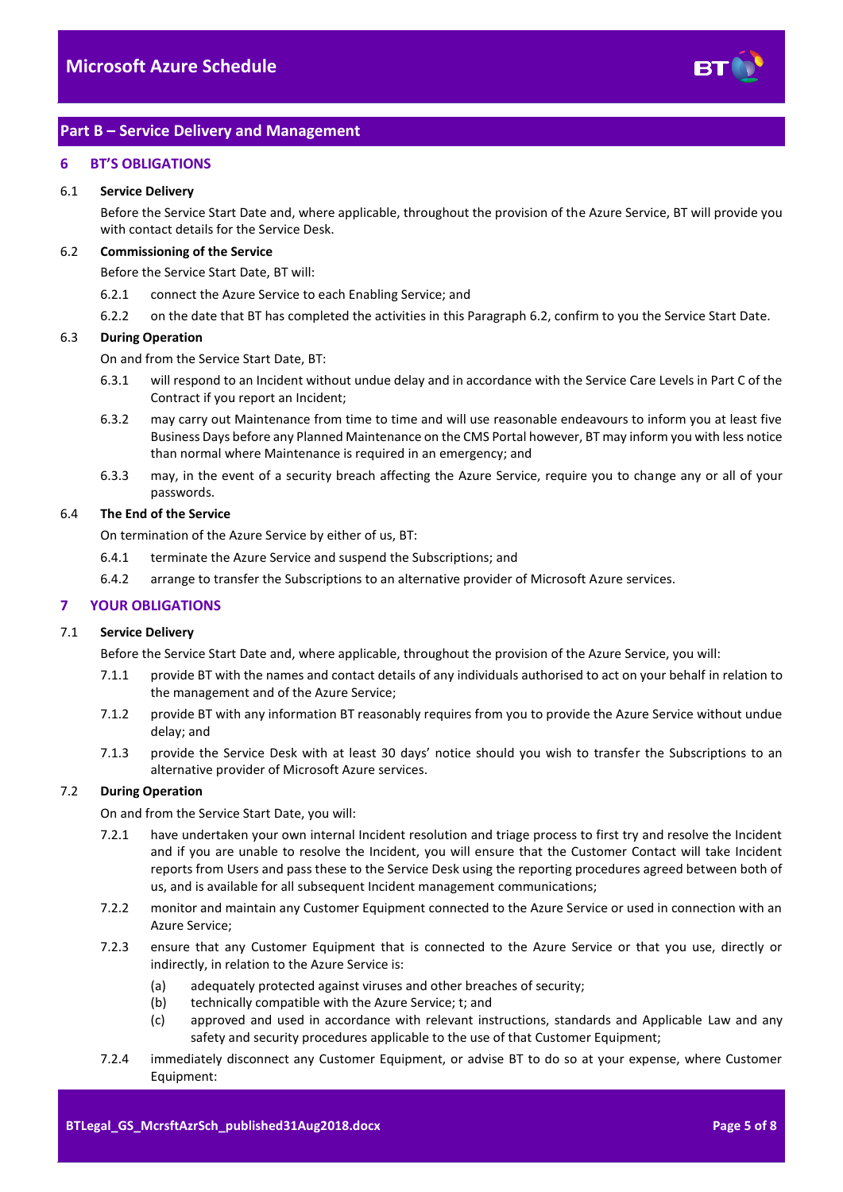

# <span id="page-4-0"></span>**Part B – Service Delivery and Management**

## <span id="page-4-1"></span>**6 BT'S OBLIGATIONS**

#### 6.1 **Service Delivery**

Before the Service Start Date and, where applicable, throughout the provision of the Azure Service, BT will provide you with contact details for the Service Desk.

#### <span id="page-4-3"></span>6.2 **Commissioning of the Service**

Before the Service Start Date, BT will:

- 6.2.1 connect the Azure Service to each Enabling Service; and
- 6.2.2 on the date that BT has completed the activities in this Paragraph [6.2,](#page-4-3) confirm to you the Service Start Date.

#### 6.3 **During Operation**

On and from the Service Start Date, BT:

- 6.3.1 will respond to an Incident without undue delay and in accordance with the Service Care Levels in Part C of the Contract if you report an Incident;
- 6.3.2 may carry out Maintenance from time to time and will use reasonable endeavours to inform you at least five Business Days before any Planned Maintenance on the CMS Portal however, BT may inform you with less notice than normal where Maintenance is required in an emergency; and
- 6.3.3 may, in the event of a security breach affecting the Azure Service, require you to change any or all of your passwords.

#### 6.4 **The End of the Service**

On termination of the Azure Service by either of us, BT:

- 6.4.1 terminate the Azure Service and suspend the Subscriptions; and
- 6.4.2 arrange to transfer the Subscriptions to an alternative provider of Microsoft Azure services.

## <span id="page-4-2"></span>**7 YOUR OBLIGATIONS**

#### 7.1 **Service Delivery**

Before the Service Start Date and, where applicable, throughout the provision of the Azure Service, you will:

- 7.1.1 provide BT with the names and contact details of any individuals authorised to act on your behalf in relation to the management and of the Azure Service;
- 7.1.2 provide BT with any information BT reasonably requires from you to provide the Azure Service without undue delay; and
- 7.1.3 provide the Service Desk with at least 30 days' notice should you wish to transfer the Subscriptions to an alternative provider of Microsoft Azure services.

## 7.2 **During Operation**

On and from the Service Start Date, you will:

- 7.2.1 have undertaken your own internal Incident resolution and triage process to first try and resolve the Incident and if you are unable to resolve the Incident, you will ensure that the Customer Contact will take Incident reports from Users and pass these to the Service Desk using the reporting procedures agreed between both of us, and is available for all subsequent Incident management communications;
- 7.2.2 monitor and maintain any Customer Equipment connected to the Azure Service or used in connection with an Azure Service;
- 7.2.3 ensure that any Customer Equipment that is connected to the Azure Service or that you use, directly or indirectly, in relation to the Azure Service is:
	- (a) adequately protected against viruses and other breaches of security;
	- (b) technically compatible with the Azure Service; t; and
	- (c) approved and used in accordance with relevant instructions, standards and Applicable Law and any safety and security procedures applicable to the use of that Customer Equipment;
- 7.2.4 immediately disconnect any Customer Equipment, or advise BT to do so at your expense, where Customer Equipment: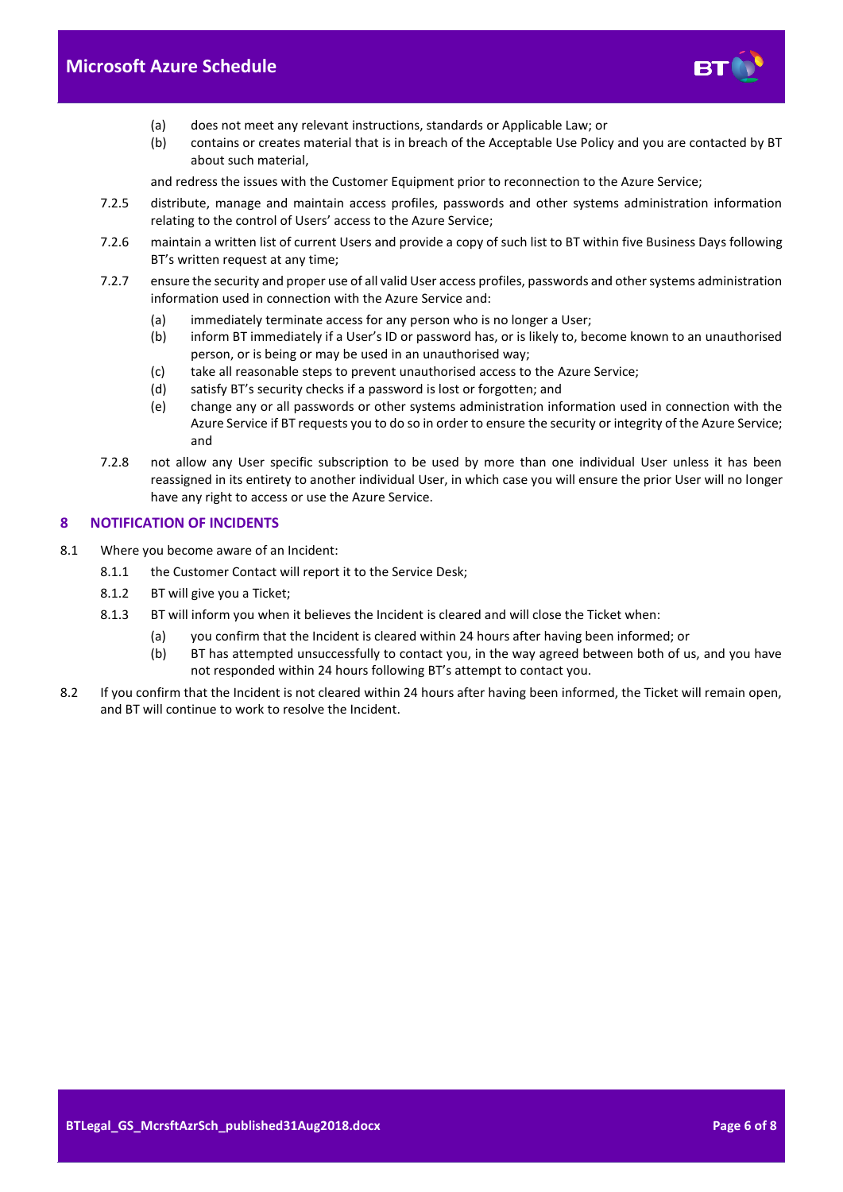

- (a) does not meet any relevant instructions, standards or Applicable Law; or
- (b) contains or creates material that is in breach of the Acceptable Use Policy and you are contacted by BT about such material,

and redress the issues with the Customer Equipment prior to reconnection to the Azure Service;

- 7.2.5 distribute, manage and maintain access profiles, passwords and other systems administration information relating to the control of Users' access to the Azure Service;
- 7.2.6 maintain a written list of current Users and provide a copy of such list to BT within five Business Days following BT's written request at any time;
- 7.2.7 ensure the security and proper use of all valid User access profiles, passwords and other systems administration information used in connection with the Azure Service and:
	- (a) immediately terminate access for any person who is no longer a User;
	- (b) inform BT immediately if a User's ID or password has, or is likely to, become known to an unauthorised person, or is being or may be used in an unauthorised way;
	- (c) take all reasonable steps to prevent unauthorised access to the Azure Service;
	- (d) satisfy BT's security checks if a password is lost or forgotten; and
	- (e) change any or all passwords or other systems administration information used in connection with the Azure Service if BT requests you to do so in order to ensure the security or integrity of the Azure Service; and
- 7.2.8 not allow any User specific subscription to be used by more than one individual User unless it has been reassigned in its entirety to another individual User, in which case you will ensure the prior User will no longer have any right to access or use the Azure Service.

## <span id="page-5-0"></span>**8 NOTIFICATION OF INCIDENTS**

- 8.1 Where you become aware of an Incident:
	- 8.1.1 the Customer Contact will report it to the Service Desk;
	- 8.1.2 BT will give you a Ticket;
	- 8.1.3 BT will inform you when it believes the Incident is cleared and will close the Ticket when:
		- (a) you confirm that the Incident is cleared within 24 hours after having been informed; or
			- (b) BT has attempted unsuccessfully to contact you, in the way agreed between both of us, and you have not responded within 24 hours following BT's attempt to contact you.
- 8.2 If you confirm that the Incident is not cleared within 24 hours after having been informed, the Ticket will remain open, and BT will continue to work to resolve the Incident.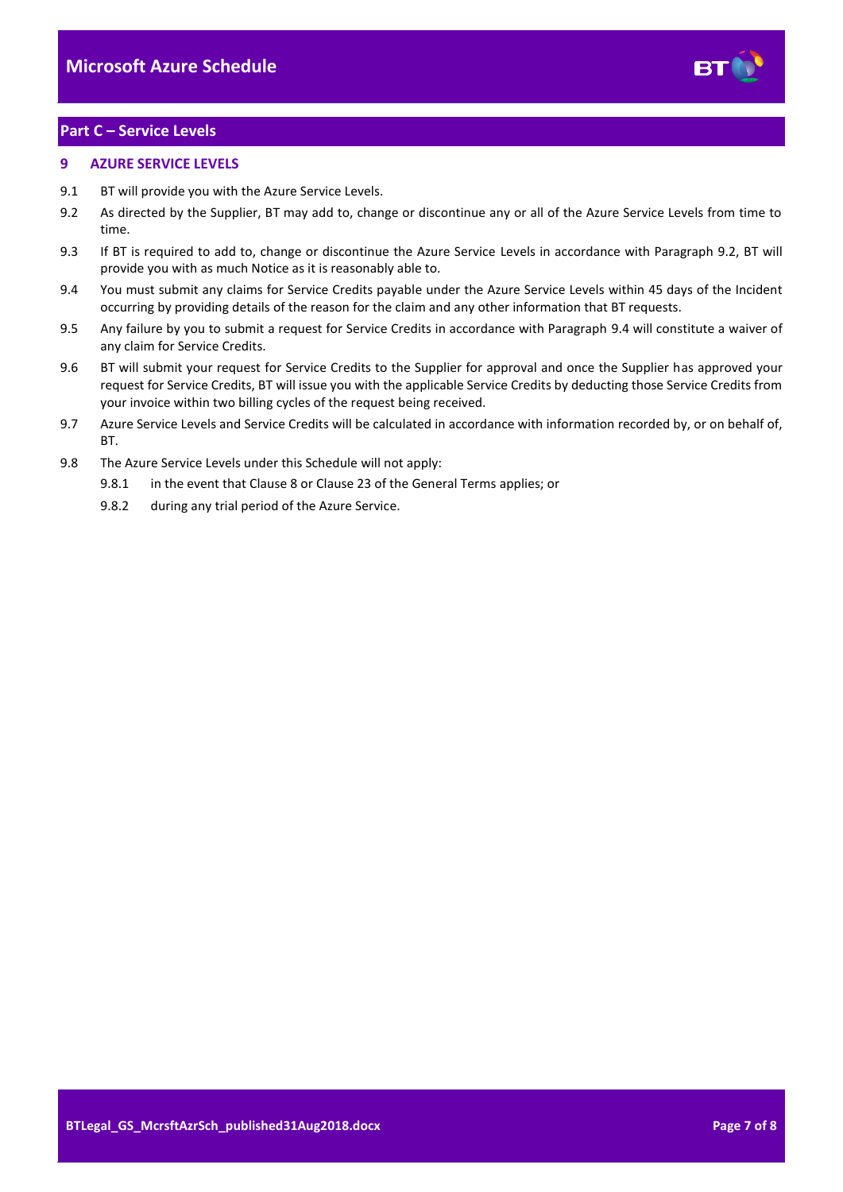

# <span id="page-6-0"></span>**Part C – Service Levels**

## <span id="page-6-1"></span>**9 AZURE SERVICE LEVELS**

- 9.1 BT will provide you with the Azure Service Levels.
- <span id="page-6-2"></span>9.2 As directed by the Supplier, BT may add to, change or discontinue any or all of the Azure Service Levels from time to time.
- 9.3 If BT is required to add to, change or discontinue the Azure Service Levels in accordance with Paragraph [9.2,](#page-6-2) BT will provide you with as much Notice as it is reasonably able to.
- <span id="page-6-3"></span>9.4 You must submit any claims for Service Credits payable under the Azure Service Levels within 45 days of the Incident occurring by providing details of the reason for the claim and any other information that BT requests.
- 9.5 Any failure by you to submit a request for Service Credits in accordance with Paragraph [9.4](#page-6-3) will constitute a waiver of any claim for Service Credits.
- 9.6 BT will submit your request for Service Credits to the Supplier for approval and once the Supplier has approved your request for Service Credits, BT will issue you with the applicable Service Credits by deducting those Service Credits from your invoice within two billing cycles of the request being received.
- 9.7 Azure Service Levels and Service Credits will be calculated in accordance with information recorded by, or on behalf of, **BT.**
- 9.8 The Azure Service Levels under this Schedule will not apply:
	- 9.8.1 in the event that Clause 8 or Clause 23 of the General Terms applies; or
	- 9.8.2 during any trial period of the Azure Service.